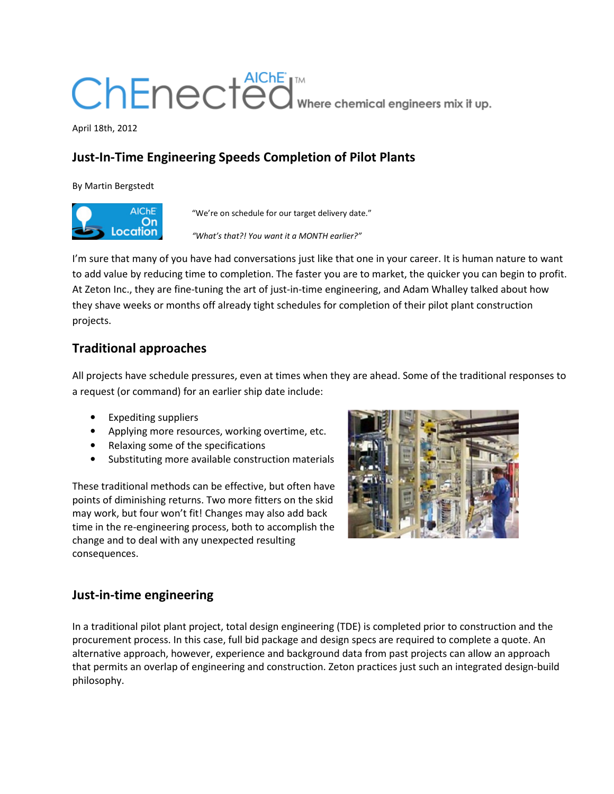# ChEnected Where chemical engineers mix it up.

April 18th, 2012

# **Just-In-Time Engineering Speeds Completion of Pilot Plants**

By Martin Bergstedt



"We're on schedule for our target delivery date."

*"What's that?! You want it a MONTH earlier?"*

I'm sure that many of you have had conversations just like that one in your career. It is human nature to want to add value by reducing time to completion. The faster you are to market, the quicker you can begin to profit. At Zeton Inc., they are fine-tuning the art of just-in-time engineering, and Adam Whalley talked about how they shave weeks or months off already tight schedules for completion of their pilot plant construction projects.

## **Traditional approaches**

All projects have schedule pressures, even at times when they are ahead. Some of the traditional responses to a request (or command) for an earlier ship date include:

- Expediting suppliers
- Applying more resources, working overtime, etc.
- Relaxing some of the specifications
- Substituting more available construction materials

These traditional methods can be effective, but often have points of diminishing returns. Two more fitters on the skid may work, but four won't fit! Changes may also add back time in the re-engineering process, both to accomplish the change and to deal with any unexpected resulting consequences.



#### **Just-in-time engineering**

In a traditional pilot plant project, total design engineering (TDE) is completed prior to construction and the procurement process. In this case, full bid package and design specs are required to complete a quote. An alternative approach, however, experience and background data from past projects can allow an approach that permits an overlap of engineering and construction. Zeton practices just such an integrated design-build philosophy.